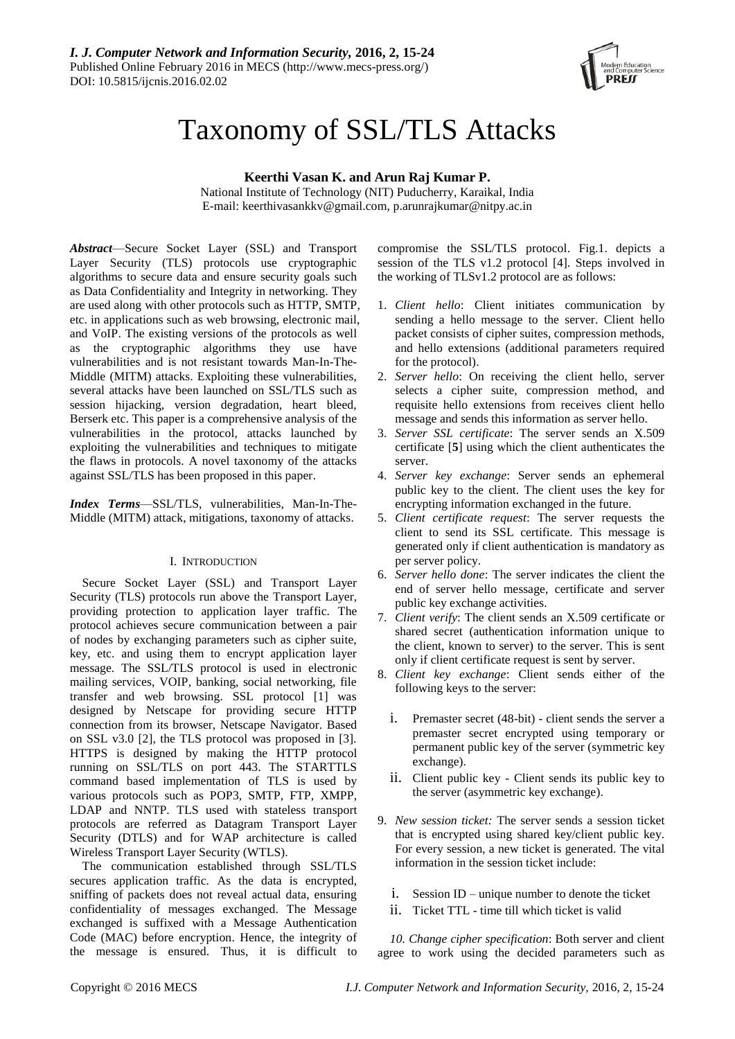

# Taxonomy of SSL/TLS Attacks

# **Keerthi Vasan K. and Arun Raj Kumar P.**

National Institute of Technology (NIT) Puducherry, Karaikal, India E-mail: keerthivasankkv@gmail.com, p.arunrajkumar@nitpy.ac.in

*Abstract*—Secure Socket Layer (SSL) and Transport Layer Security (TLS) protocols use cryptographic algorithms to secure data and ensure security goals such as Data Confidentiality and Integrity in networking. They are used along with other protocols such as HTTP, SMTP, etc. in applications such as web browsing, electronic mail, and VoIP. The existing versions of the protocols as well as the cryptographic algorithms they use have vulnerabilities and is not resistant towards Man-In-The-Middle (MITM) attacks. Exploiting these vulnerabilities, several attacks have been launched on SSL/TLS such as session hijacking, version degradation, heart bleed, Berserk etc. This paper is a comprehensive analysis of the vulnerabilities in the protocol, attacks launched by exploiting the vulnerabilities and techniques to mitigate the flaws in protocols. A novel taxonomy of the attacks against SSL/TLS has been proposed in this paper.

*Index Terms*—SSL/TLS, vulnerabilities, Man-In-The-Middle (MITM) attack, mitigations, taxonomy of attacks.

## I. INTRODUCTION

Secure Socket Layer (SSL) and Transport Layer Security (TLS) protocols run above the Transport Layer, providing protection to application layer traffic. The protocol achieves secure communication between a pair of nodes by exchanging parameters such as cipher suite, key, etc. and using them to encrypt application layer message. The SSL/TLS protocol is used in electronic mailing services, VOIP, banking, social networking, file transfer and web browsing. SSL protocol [1] was designed by Netscape for providing secure HTTP connection from its browser, Netscape Navigator. Based on SSL v3.0 [2], the TLS protocol was proposed in [3]. HTTPS is designed by making the HTTP protocol running on SSL/TLS on port 443. The STARTTLS command based implementation of TLS is used by various protocols such as POP3, SMTP, FTP, XMPP, LDAP and NNTP. TLS used with stateless transport protocols are referred as Datagram Transport Layer Security (DTLS) and for WAP architecture is called Wireless Transport Layer Security (WTLS).

The communication established through SSL/TLS secures application traffic. As the data is encrypted, sniffing of packets does not reveal actual data, ensuring confidentiality of messages exchanged. The Message exchanged is suffixed with a Message Authentication Code (MAC) before encryption. Hence, the integrity of the message is ensured. Thus, it is difficult to compromise the SSL/TLS protocol. Fig.1. depicts a session of the TLS v1.2 protocol [4]. Steps involved in the working of TLSv1.2 protocol are as follows:

- 1. *Client hello*: Client initiates communication by sending a hello message to the server. Client hello packet consists of cipher suites, compression methods, and hello extensions (additional parameters required for the protocol).
- 2. *Server hello*: On receiving the client hello, server selects a cipher suite, compression method, and requisite hello extensions from receives client hello message and sends this information as server hello.
- 3. *Server SSL certificate*: The server sends an X.509 certificate [**5**] using which the client authenticates the server.
- 4. *Server key exchange*: Server sends an ephemeral public key to the client. The client uses the key for encrypting information exchanged in the future.
- 5. *Client certificate request*: The server requests the client to send its SSL certificate. This message is generated only if client authentication is mandatory as per server policy.
- 6. *Server hello done*: The server indicates the client the end of server hello message, certificate and server public key exchange activities.
- 7. *Client verify*: The client sends an X.509 certificate or shared secret (authentication information unique to the client, known to server) to the server. This is sent only if client certificate request is sent by server.
- 8. *Client key exchange*: Client sends either of the following keys to the server:
	- i. Premaster secret (48-bit) client sends the server a premaster secret encrypted using temporary or permanent public key of the server (symmetric key exchange).
	- ii. Client public key Client sends its public key to the server (asymmetric key exchange).
- 9. *New session ticket:* The server sends a session ticket that is encrypted using shared key/client public key. For every session, a new ticket is generated. The vital information in the session ticket include:
	- i. Session ID unique number to denote the ticket
	- ii. Ticket TTL time till which ticket is valid

*10. Change cipher specification*: Both server and client agree to work using the decided parameters such as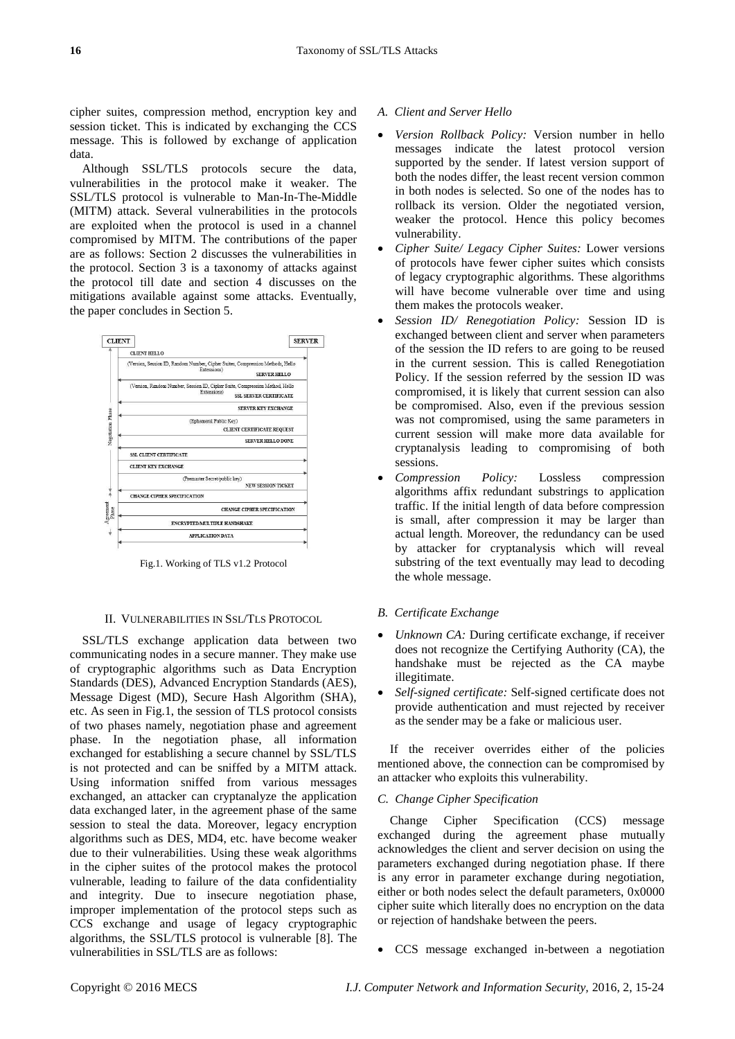cipher suites, compression method, encryption key and session ticket. This is indicated by exchanging the CCS message. This is followed by exchange of application data.

Although SSL/TLS protocols secure the data, vulnerabilities in the protocol make it weaker. The SSL/TLS protocol is vulnerable to Man-In-The-Middle (MITM) attack. Several vulnerabilities in the protocols are exploited when the protocol is used in a channel compromised by MITM. The contributions of the paper are as follows: Section 2 discusses the vulnerabilities in the protocol. Section 3 is a taxonomy of attacks against the protocol till date and section 4 discusses on the mitigations available against some attacks. Eventually, the paper concludes in Section 5.



Fig.1. Working of TLS v1.2 Protocol

#### II. VULNERABILITIES IN SSL/TLS PROTOCOL

SSL/TLS exchange application data between two communicating nodes in a secure manner. They make use of cryptographic algorithms such as Data Encryption Standards (DES), Advanced Encryption Standards (AES), Message Digest (MD), Secure Hash Algorithm (SHA), etc. As seen in Fig.1, the session of TLS protocol consists of two phases namely, negotiation phase and agreement phase. In the negotiation phase, all information exchanged for establishing a secure channel by SSL/TLS is not protected and can be sniffed by a MITM attack. Using information sniffed from various messages exchanged, an attacker can cryptanalyze the application data exchanged later, in the agreement phase of the same session to steal the data. Moreover, legacy encryption algorithms such as DES, MD4, etc. have become weaker due to their vulnerabilities. Using these weak algorithms in the cipher suites of the protocol makes the protocol vulnerable, leading to failure of the data confidentiality and integrity. Due to insecure negotiation phase, improper implementation of the protocol steps such as CCS exchange and usage of legacy cryptographic algorithms, the SSL/TLS protocol is vulnerable [8]. The vulnerabilities in SSL/TLS are as follows:

## *A. Client and Server Hello*

- *Version Rollback Policy:* Version number in hello messages indicate the latest protocol version supported by the sender. If latest version support of both the nodes differ, the least recent version common in both nodes is selected. So one of the nodes has to rollback its version. Older the negotiated version, weaker the protocol. Hence this policy becomes vulnerability.
- *Cipher Suite/ Legacy Cipher Suites:* Lower versions of protocols have fewer cipher suites which consists of legacy cryptographic algorithms. These algorithms will have become vulnerable over time and using them makes the protocols weaker.
- *Session ID/ Renegotiation Policy:* Session ID is exchanged between client and server when parameters of the session the ID refers to are going to be reused in the current session. This is called Renegotiation Policy. If the session referred by the session ID was compromised, it is likely that current session can also be compromised. Also, even if the previous session was not compromised, using the same parameters in current session will make more data available for cryptanalysis leading to compromising of both sessions.
- *Compression Policy:* Lossless compression algorithms affix redundant substrings to application traffic. If the initial length of data before compression is small, after compression it may be larger than actual length. Moreover, the redundancy can be used by attacker for cryptanalysis which will reveal substring of the text eventually may lead to decoding the whole message.

## *B. Certificate Exchange*

- *Unknown CA:* During certificate exchange, if receiver does not recognize the Certifying Authority (CA), the handshake must be rejected as the CA maybe illegitimate.
- *Self-signed certificate:* Self-signed certificate does not provide authentication and must rejected by receiver as the sender may be a fake or malicious user.

If the receiver overrides either of the policies mentioned above, the connection can be compromised by an attacker who exploits this vulnerability.

## *C. Change Cipher Specification*

Change Cipher Specification (CCS) message exchanged during the agreement phase mutually acknowledges the client and server decision on using the parameters exchanged during negotiation phase. If there is any error in parameter exchange during negotiation, either or both nodes select the default parameters, 0x0000 cipher suite which literally does no encryption on the data or rejection of handshake between the peers.

CCS message exchanged in-between a negotiation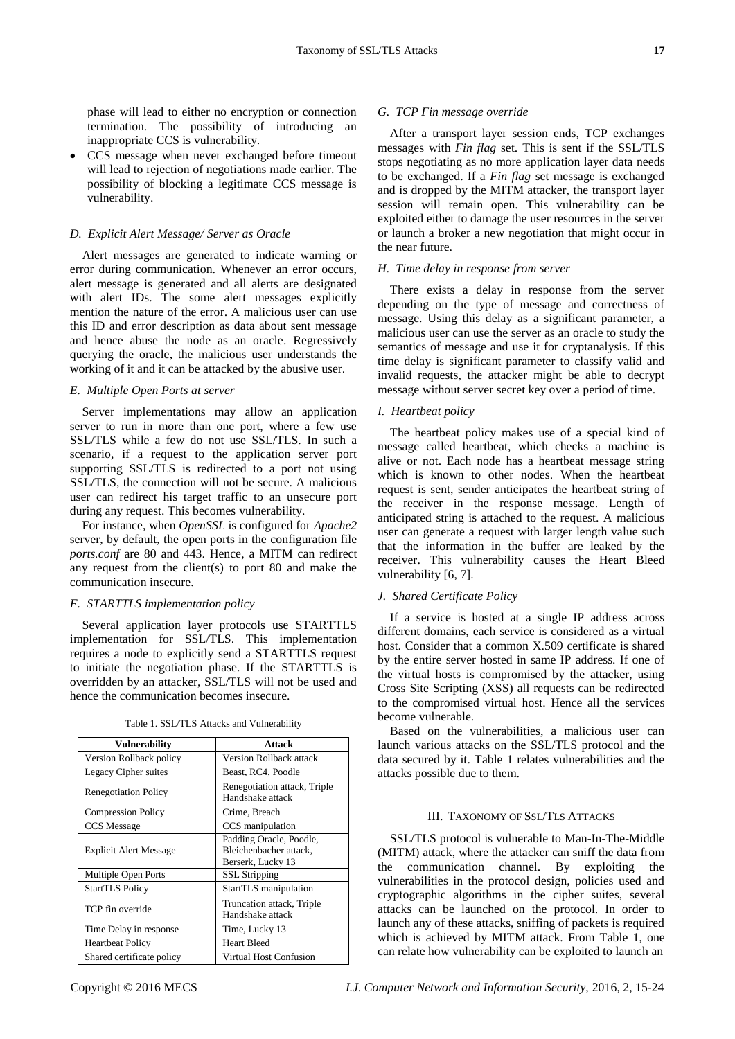phase will lead to either no encryption or connection termination. The possibility of introducing an inappropriate CCS is vulnerability.

 CCS message when never exchanged before timeout will lead to rejection of negotiations made earlier. The possibility of blocking a legitimate CCS message is vulnerability.

## *D. Explicit Alert Message/ Server as Oracle*

Alert messages are generated to indicate warning or error during communication. Whenever an error occurs, alert message is generated and all alerts are designated with alert IDs. The some alert messages explicitly mention the nature of the error. A malicious user can use this ID and error description as data about sent message and hence abuse the node as an oracle. Regressively querying the oracle, the malicious user understands the working of it and it can be attacked by the abusive user.

#### *E. Multiple Open Ports at server*

Server implementations may allow an application server to run in more than one port, where a few use SSL/TLS while a few do not use SSL/TLS. In such a scenario, if a request to the application server port supporting SSL/TLS is redirected to a port not using SSL/TLS, the connection will not be secure. A malicious user can redirect his target traffic to an unsecure port during any request. This becomes vulnerability.

For instance, when *OpenSSL* is configured for *Apache2* server, by default, the open ports in the configuration file *ports.conf* are 80 and 443. Hence, a MITM can redirect any request from the client(s) to port 80 and make the communication insecure.

## *F. STARTTLS implementation policy*

Several application layer protocols use STARTTLS implementation for SSL/TLS. This implementation requires a node to explicitly send a STARTTLS request to initiate the negotiation phase. If the STARTTLS is overridden by an attacker, SSL/TLS will not be used and hence the communication becomes insecure.

| Vulnerability                 | <b>Attack</b>                                                          |
|-------------------------------|------------------------------------------------------------------------|
| Version Rollback policy       | Version Rollback attack                                                |
| Legacy Cipher suites          | Beast, RC4, Poodle                                                     |
| <b>Renegotiation Policy</b>   | Renegotiation attack, Triple<br>Handshake attack                       |
| <b>Compression Policy</b>     | Crime, Breach                                                          |
| <b>CCS</b> Message            | CCS manipulation                                                       |
| <b>Explicit Alert Message</b> | Padding Oracle, Poodle,<br>Bleichenbacher attack,<br>Berserk, Lucky 13 |
| Multiple Open Ports           | <b>SSL</b> Stripping                                                   |
| <b>StartTLS Policy</b>        | StartTLS manipulation                                                  |
| TCP fin override              | Truncation attack, Triple<br>Handshake attack                          |
| Time Delay in response        | Time, Lucky 13                                                         |
| <b>Heartbeat Policy</b>       | <b>Heart Bleed</b>                                                     |
| Shared certificate policy     | Virtual Host Confusion                                                 |

Table 1. SSL/TLS Attacks and Vulnerability

#### *G. TCP Fin message override*

After a transport layer session ends, TCP exchanges messages with *Fin flag* set. This is sent if the SSL/TLS stops negotiating as no more application layer data needs to be exchanged. If a *Fin flag* set message is exchanged and is dropped by the MITM attacker, the transport layer session will remain open. This vulnerability can be exploited either to damage the user resources in the server or launch a broker a new negotiation that might occur in the near future.

#### *H. Time delay in response from server*

There exists a delay in response from the server depending on the type of message and correctness of message. Using this delay as a significant parameter, a malicious user can use the server as an oracle to study the semantics of message and use it for cryptanalysis. If this time delay is significant parameter to classify valid and invalid requests, the attacker might be able to decrypt message without server secret key over a period of time.

#### *I. Heartbeat policy*

The heartbeat policy makes use of a special kind of message called heartbeat, which checks a machine is alive or not. Each node has a heartbeat message string which is known to other nodes. When the heartbeat request is sent, sender anticipates the heartbeat string of the receiver in the response message. Length of anticipated string is attached to the request. A malicious user can generate a request with larger length value such that the information in the buffer are leaked by the receiver. This vulnerability causes the Heart Bleed vulnerability [6, 7].

## *J. Shared Certificate Policy*

If a service is hosted at a single IP address across different domains, each service is considered as a virtual host. Consider that a common X.509 certificate is shared by the entire server hosted in same IP address. If one of the virtual hosts is compromised by the attacker, using Cross Site Scripting (XSS) all requests can be redirected to the compromised virtual host. Hence all the services become vulnerable.

Based on the vulnerabilities, a malicious user can launch various attacks on the SSL/TLS protocol and the data secured by it. Table 1 relates vulnerabilities and the attacks possible due to them.

#### III. TAXONOMY OF SSL/TLS ATTACKS

SSL/TLS protocol is vulnerable to Man-In-The-Middle (MITM) attack, where the attacker can sniff the data from the communication channel. By exploiting the vulnerabilities in the protocol design, policies used and cryptographic algorithms in the cipher suites, several attacks can be launched on the protocol. In order to launch any of these attacks, sniffing of packets is required which is achieved by MITM attack. From Table 1, one can relate how vulnerability can be exploited to launch an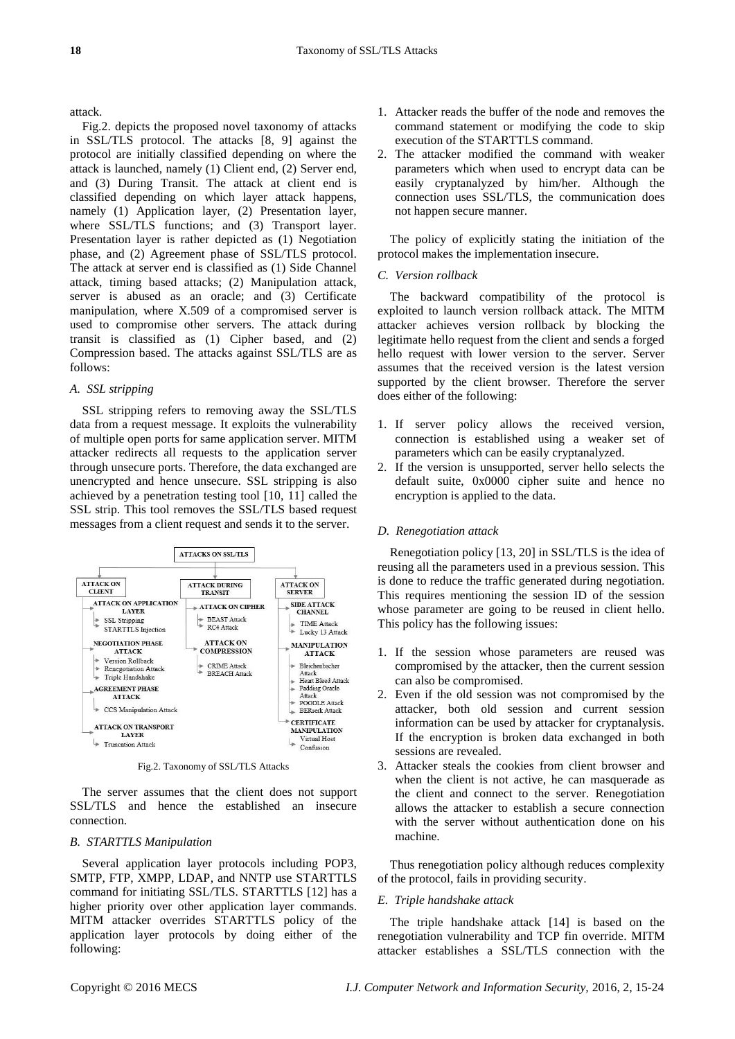attack.

Fig.2. depicts the proposed novel taxonomy of attacks in SSL/TLS protocol. The attacks [8, 9] against the protocol are initially classified depending on where the attack is launched, namely (1) Client end, (2) Server end, and (3) During Transit. The attack at client end is classified depending on which layer attack happens, namely (1) Application layer, (2) Presentation layer, where SSL/TLS functions; and (3) Transport layer. Presentation layer is rather depicted as (1) Negotiation phase, and (2) Agreement phase of SSL/TLS protocol. The attack at server end is classified as (1) Side Channel attack, timing based attacks; (2) Manipulation attack, server is abused as an oracle; and (3) Certificate manipulation, where X.509 of a compromised server is used to compromise other servers. The attack during transit is classified as (1) Cipher based, and (2) Compression based. The attacks against SSL/TLS are as follows:

## *A. SSL stripping*

SSL stripping refers to removing away the SSL/TLS data from a request message. It exploits the vulnerability of multiple open ports for same application server. MITM attacker redirects all requests to the application server through unsecure ports. Therefore, the data exchanged are unencrypted and hence unsecure. SSL stripping is also achieved by a penetration testing tool [10, 11] called the SSL strip. This tool removes the SSL/TLS based request messages from a client request and sends it to the server.



Fig.2. Taxonomy of SSL/TLS Attacks

The server assumes that the client does not support SSL/TLS and hence the established an insecure connection.

## *B. STARTTLS Manipulation*

Several application layer protocols including POP3, SMTP, FTP, XMPP, LDAP, and NNTP use STARTTLS command for initiating SSL/TLS. STARTTLS [12] has a higher priority over other application layer commands. MITM attacker overrides STARTTLS policy of the application layer protocols by doing either of the following:

- 1. Attacker reads the buffer of the node and removes the command statement or modifying the code to skip execution of the STARTTLS command.
- 2. The attacker modified the command with weaker parameters which when used to encrypt data can be easily cryptanalyzed by him/her. Although the connection uses SSL/TLS, the communication does not happen secure manner.

The policy of explicitly stating the initiation of the protocol makes the implementation insecure.

## *C. Version rollback*

The backward compatibility of the protocol is exploited to launch version rollback attack. The MITM attacker achieves version rollback by blocking the legitimate hello request from the client and sends a forged hello request with lower version to the server. Server assumes that the received version is the latest version supported by the client browser. Therefore the server does either of the following:

- 1. If server policy allows the received version, connection is established using a weaker set of parameters which can be easily cryptanalyzed.
- 2. If the version is unsupported, server hello selects the default suite, 0x0000 cipher suite and hence no encryption is applied to the data.

#### *D. Renegotiation attack*

Renegotiation policy [13, 20] in SSL/TLS is the idea of reusing all the parameters used in a previous session. This is done to reduce the traffic generated during negotiation. This requires mentioning the session ID of the session whose parameter are going to be reused in client hello. This policy has the following issues:

- 1. If the session whose parameters are reused was compromised by the attacker, then the current session can also be compromised.
- 2. Even if the old session was not compromised by the attacker, both old session and current session information can be used by attacker for cryptanalysis. If the encryption is broken data exchanged in both sessions are revealed.
- 3. Attacker steals the cookies from client browser and when the client is not active, he can masquerade as the client and connect to the server. Renegotiation allows the attacker to establish a secure connection with the server without authentication done on his machine.

Thus renegotiation policy although reduces complexity of the protocol, fails in providing security.

## *E. Triple handshake attack*

The triple handshake attack [14] is based on the renegotiation vulnerability and TCP fin override. MITM attacker establishes a SSL/TLS connection with the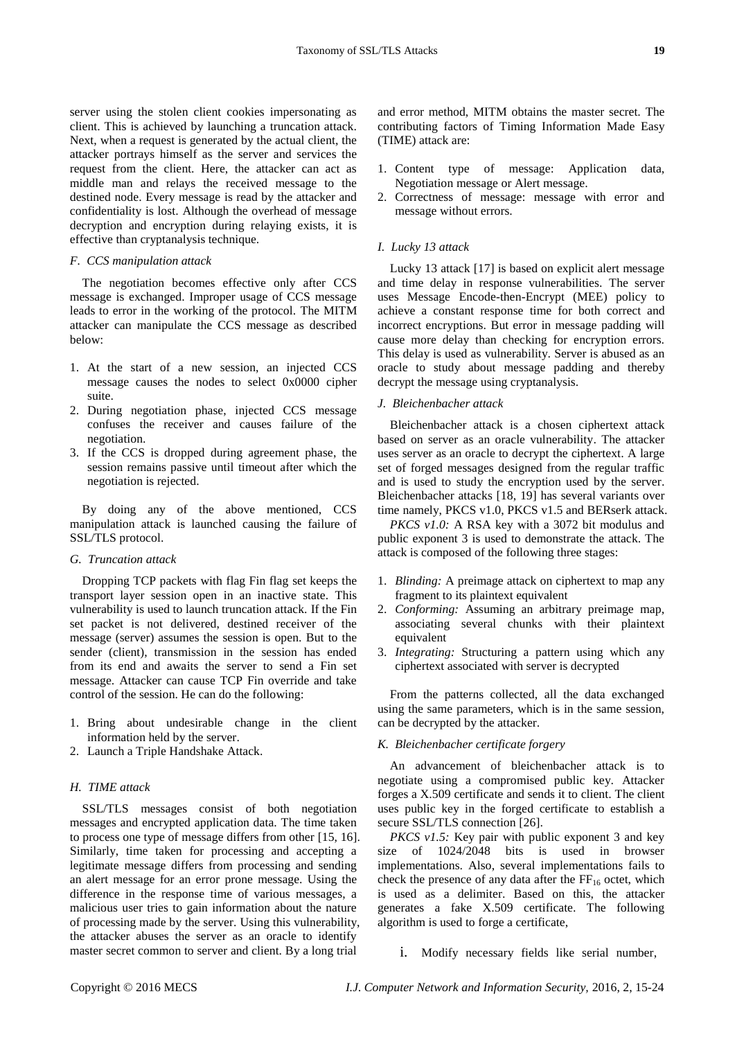server using the stolen client cookies impersonating as client. This is achieved by launching a truncation attack. Next, when a request is generated by the actual client, the attacker portrays himself as the server and services the request from the client. Here, the attacker can act as middle man and relays the received message to the destined node. Every message is read by the attacker and confidentiality is lost. Although the overhead of message decryption and encryption during relaying exists, it is effective than cryptanalysis technique.

#### *F. CCS manipulation attack*

The negotiation becomes effective only after CCS message is exchanged. Improper usage of CCS message leads to error in the working of the protocol. The MITM attacker can manipulate the CCS message as described below:

- 1. At the start of a new session, an injected CCS message causes the nodes to select 0x0000 cipher suite.
- 2. During negotiation phase, injected CCS message confuses the receiver and causes failure of the negotiation.
- 3. If the CCS is dropped during agreement phase, the session remains passive until timeout after which the negotiation is rejected.

By doing any of the above mentioned, CCS manipulation attack is launched causing the failure of SSL/TLS protocol.

#### *G. Truncation attack*

Dropping TCP packets with flag Fin flag set keeps the transport layer session open in an inactive state. This vulnerability is used to launch truncation attack. If the Fin set packet is not delivered, destined receiver of the message (server) assumes the session is open. But to the sender (client), transmission in the session has ended from its end and awaits the server to send a Fin set message. Attacker can cause TCP Fin override and take control of the session. He can do the following:

- 1. Bring about undesirable change in the client information held by the server.
- 2. Launch a Triple Handshake Attack.

## *H. TIME attack*

SSL/TLS messages consist of both negotiation messages and encrypted application data. The time taken to process one type of message differs from other [15, 16]. Similarly, time taken for processing and accepting a legitimate message differs from processing and sending an alert message for an error prone message. Using the difference in the response time of various messages, a malicious user tries to gain information about the nature of processing made by the server. Using this vulnerability, the attacker abuses the server as an oracle to identify master secret common to server and client. By a long trial

and error method, MITM obtains the master secret. The contributing factors of Timing Information Made Easy (TIME) attack are:

- 1. Content type of message: Application data, Negotiation message or Alert message.
- 2. Correctness of message: message with error and message without errors.

## *I. Lucky 13 attack*

Lucky 13 attack [17] is based on explicit alert message and time delay in response vulnerabilities. The server uses Message Encode-then-Encrypt (MEE) policy to achieve a constant response time for both correct and incorrect encryptions. But error in message padding will cause more delay than checking for encryption errors. This delay is used as vulnerability. Server is abused as an oracle to study about message padding and thereby decrypt the message using cryptanalysis.

## *J. Bleichenbacher attack*

Bleichenbacher attack is a chosen ciphertext attack based on server as an oracle vulnerability. The attacker uses server as an oracle to decrypt the ciphertext. A large set of forged messages designed from the regular traffic and is used to study the encryption used by the server. Bleichenbacher attacks [18, 19] has several variants over time namely, PKCS v1.0, PKCS v1.5 and BERserk attack.

*PKCS v1.0:* A RSA key with a 3072 bit modulus and public exponent 3 is used to demonstrate the attack. The attack is composed of the following three stages:

- 1. *Blinding:* A preimage attack on ciphertext to map any fragment to its plaintext equivalent
- 2. *Conforming:* Assuming an arbitrary preimage map, associating several chunks with their plaintext equivalent
- 3. *Integrating:* Structuring a pattern using which any ciphertext associated with server is decrypted

From the patterns collected, all the data exchanged using the same parameters, which is in the same session, can be decrypted by the attacker.

#### *K. Bleichenbacher certificate forgery*

An advancement of bleichenbacher attack is to negotiate using a compromised public key. Attacker forges a X.509 certificate and sends it to client. The client uses public key in the forged certificate to establish a secure SSL/TLS connection [26].

*PKCS v1.5:* Key pair with public exponent 3 and key size of 1024/2048 bits is used in browser implementations. Also, several implementations fails to check the presence of any data after the  $FF_{16}$  octet, which is used as a delimiter. Based on this, the attacker generates a fake X.509 certificate. The following algorithm is used to forge a certificate,

i. Modify necessary fields like serial number,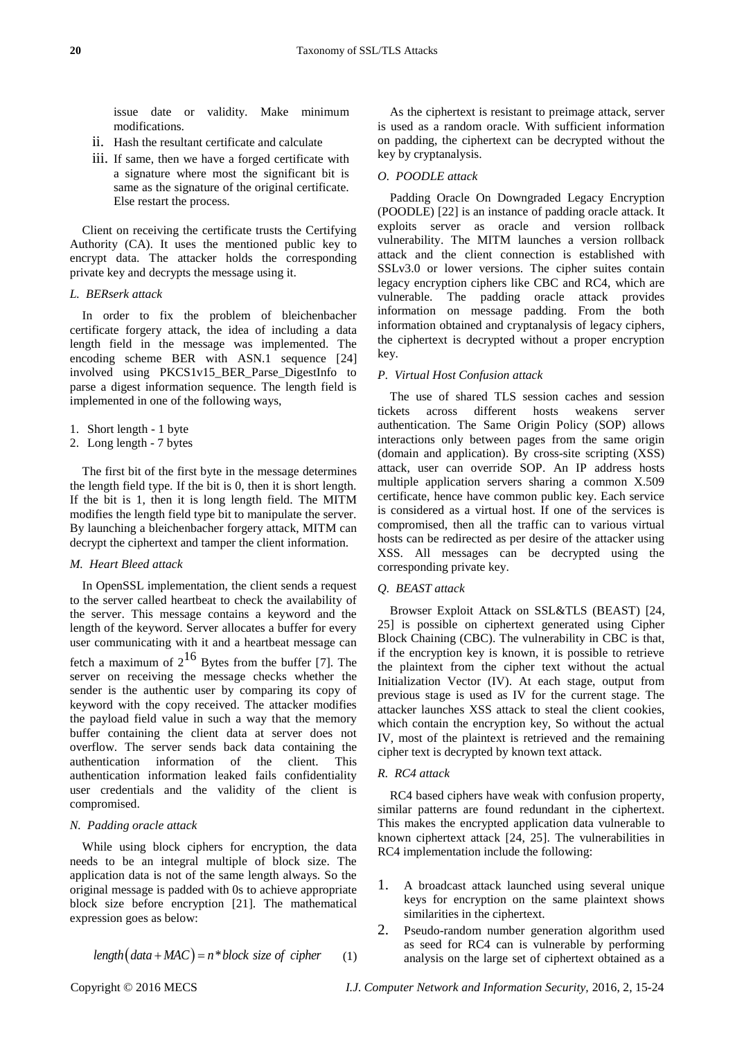issue date or validity. Make minimum modifications.

- ii. Hash the resultant certificate and calculate
- iii. If same, then we have a forged certificate with a signature where most the significant bit is same as the signature of the original certificate. Else restart the process.

Client on receiving the certificate trusts the Certifying Authority (CA). It uses the mentioned public key to encrypt data. The attacker holds the corresponding private key and decrypts the message using it.

#### *L. BERserk attack*

In order to fix the problem of bleichenbacher certificate forgery attack, the idea of including a data length field in the message was implemented. The encoding scheme BER with ASN.1 sequence [24] involved using PKCS1v15\_BER\_Parse\_DigestInfo to parse a digest information sequence. The length field is implemented in one of the following ways,

- 1. Short length 1 byte
- 2. Long length 7 bytes

The first bit of the first byte in the message determines the length field type. If the bit is 0, then it is short length. If the bit is 1, then it is long length field. The MITM modifies the length field type bit to manipulate the server. By launching a bleichenbacher forgery attack, MITM can decrypt the ciphertext and tamper the client information.

## *M. Heart Bleed attack*

In OpenSSL implementation, the client sends a request to the server called heartbeat to check the availability of the server. This message contains a keyword and the length of the keyword. Server allocates a buffer for every user communicating with it and a heartbeat message can fetch a maximum of  $2^{16}$  Bytes from the buffer [7]. The server on receiving the message checks whether the sender is the authentic user by comparing its copy of keyword with the copy received. The attacker modifies the payload field value in such a way that the memory buffer containing the client data at server does not overflow. The server sends back data containing the authentication information of the client. This authentication information leaked fails confidentiality user credentials and the validity of the client is compromised.

## *N. Padding oracle attack*

While using block ciphers for encryption, the data needs to be an integral multiple of block size. The application data is not of the same length always. So the original message is padded with 0s to achieve appropriate block size before encryption [21]. The mathematical expression goes as below:

$$
length(data + MAC) = n * block size of cipher
$$
 (1)

As the ciphertext is resistant to preimage attack, server is used as a random oracle. With sufficient information on padding, the ciphertext can be decrypted without the key by cryptanalysis.

#### *O. POODLE attack*

Padding Oracle On Downgraded Legacy Encryption (POODLE) [22] is an instance of padding oracle attack. It exploits server as oracle and version rollback vulnerability. The MITM launches a version rollback attack and the client connection is established with SSLv3.0 or lower versions. The cipher suites contain legacy encryption ciphers like CBC and RC4, which are vulnerable. The padding oracle attack provides information on message padding. From the both information obtained and cryptanalysis of legacy ciphers, the ciphertext is decrypted without a proper encryption key.

#### *P. Virtual Host Confusion attack*

The use of shared TLS session caches and session tickets across different hosts weakens server authentication. The Same Origin Policy (SOP) allows interactions only between pages from the same origin (domain and application). By cross-site scripting (XSS) attack, user can override SOP. An IP address hosts multiple application servers sharing a common X.509 certificate, hence have common public key. Each service is considered as a virtual host. If one of the services is compromised, then all the traffic can to various virtual hosts can be redirected as per desire of the attacker using XSS. All messages can be decrypted using the corresponding private key.

## *Q. BEAST attack*

Browser Exploit Attack on SSL&TLS (BEAST) [24, 25] is possible on ciphertext generated using Cipher Block Chaining (CBC). The vulnerability in CBC is that, if the encryption key is known, it is possible to retrieve the plaintext from the cipher text without the actual Initialization Vector (IV). At each stage, output from previous stage is used as IV for the current stage. The attacker launches XSS attack to steal the client cookies, which contain the encryption key, So without the actual IV, most of the plaintext is retrieved and the remaining cipher text is decrypted by known text attack.

#### *R. RC4 attack*

RC4 based ciphers have weak with confusion property, similar patterns are found redundant in the ciphertext. This makes the encrypted application data vulnerable to known ciphertext attack [24, 25]. The vulnerabilities in RC4 implementation include the following:

- 1. A broadcast attack launched using several unique keys for encryption on the same plaintext shows similarities in the ciphertext.
- 2. Pseudo-random number generation algorithm used as seed for RC4 can is vulnerable by performing analysis on the large set of ciphertext obtained as a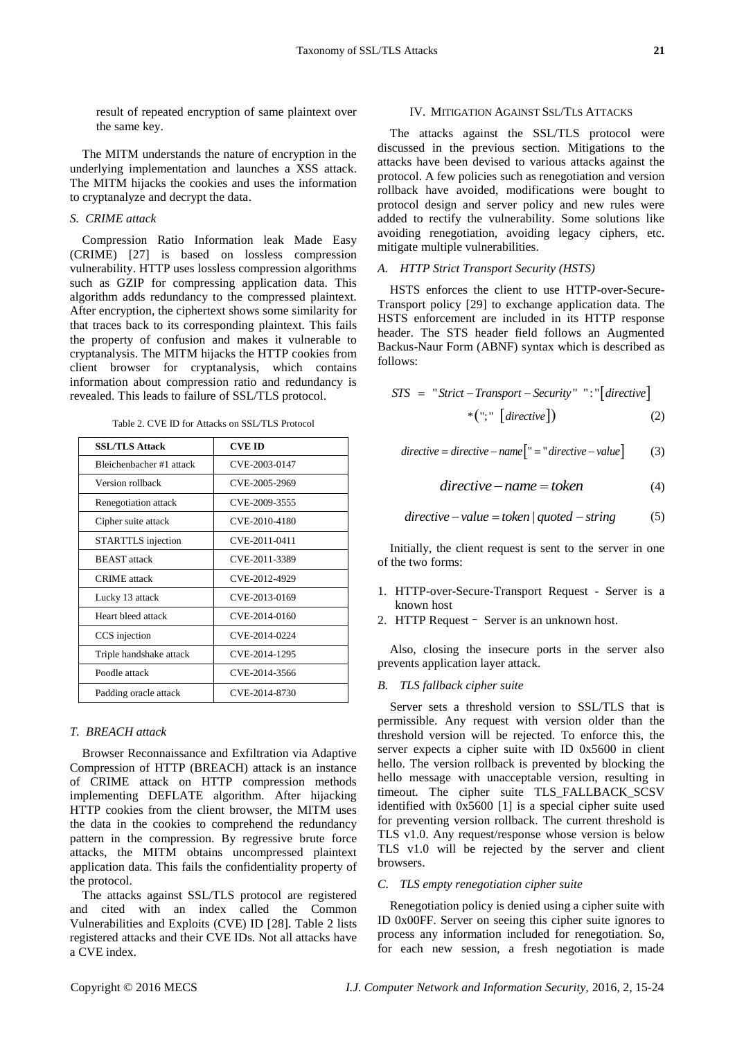result of repeated encryption of same plaintext over the same key.

The MITM understands the nature of encryption in the underlying implementation and launches a XSS attack. The MITM hijacks the cookies and uses the information to cryptanalyze and decrypt the data.

## *S. CRIME attack*

Compression Ratio Information leak Made Easy (CRIME) [27] is based on lossless compression vulnerability. HTTP uses lossless compression algorithms such as GZIP for compressing application data. This algorithm adds redundancy to the compressed plaintext. After encryption, the ciphertext shows some similarity for that traces back to its corresponding plaintext. This fails the property of confusion and makes it vulnerable to cryptanalysis. The MITM hijacks the HTTP cookies from client browser for cryptanalysis, which contains information about compression ratio and redundancy is revealed. This leads to failure of SSL/TLS protocol.

| <b>SSL/TLS Attack</b>    | <b>CVE ID</b> |
|--------------------------|---------------|
| Bleichenbacher #1 attack | CVE-2003-0147 |
| Version rollback         | CVE-2005-2969 |
| Renegotiation attack     | CVE-2009-3555 |
| Cipher suite attack      | CVE-2010-4180 |
| STARTTLS injection       | CVE-2011-0411 |
| <b>BEAST</b> attack      | CVE-2011-3389 |
| <b>CRIME</b> attack      | CVE-2012-4929 |
| Lucky 13 attack          | CVE-2013-0169 |
| Heart bleed attack       | CVE-2014-0160 |
| CCS injection            | CVE-2014-0224 |
| Triple handshake attack  | CVE-2014-1295 |
| Poodle attack            | CVE-2014-3566 |
| Padding oracle attack    | CVE-2014-8730 |

Table 2. CVE ID for Attacks on SSL/TLS Protocol

#### *T. BREACH attack*

Browser Reconnaissance and Exfiltration via Adaptive Compression of HTTP (BREACH) attack is an instance of CRIME attack on HTTP compression methods implementing DEFLATE algorithm. After hijacking HTTP cookies from the client browser, the MITM uses the data in the cookies to comprehend the redundancy pattern in the compression. By regressive brute force attacks, the MITM obtains uncompressed plaintext application data. This fails the confidentiality property of the protocol.

The attacks against SSL/TLS protocol are registered and cited with an index called the Common Vulnerabilities and Exploits (CVE) ID [28]. Table 2 lists registered attacks and their CVE IDs. Not all attacks have a CVE index.

#### IV. MITIGATION AGAINST SSL/TLS ATTACKS

The attacks against the SSL/TLS protocol were discussed in the previous section. Mitigations to the attacks have been devised to various attacks against the protocol. A few policies such as renegotiation and version rollback have avoided, modifications were bought to protocol design and server policy and new rules were added to rectify the vulnerability. Some solutions like avoiding renegotiation, avoiding legacy ciphers, etc. mitigate multiple vulnerabilities.

## *A. HTTP Strict Transport Security (HSTS)*

HSTS enforces the client to use HTTP-over-Secure-Transport policy [29] to exchange application data. The HSTS enforcement are included in its HTTP response header. The STS header field follows an Augmented Backus-Naur Form (ABNF) syntax which is described as follows:

$$
STS = "Strict - Transport - Security" "::[[directive]*(";" [directive])
$$
 (2)

$$
directive = directive - name \n\begin{bmatrix} \n" = "directive - value \n\end{bmatrix}
$$
\n(3)

$$
directive-name = token \tag{4}
$$

$$
directive-value = token | quoted - string
$$
 (5)

Initially, the client request is sent to the server in one of the two forms:

- 1. HTTP-over-Secure-Transport Request Server is a known host
- 2. HTTP Request– Server is an unknown host.

Also, closing the insecure ports in the server also prevents application layer attack.

#### *B. TLS fallback cipher suite*

Server sets a threshold version to SSL/TLS that is permissible. Any request with version older than the threshold version will be rejected. To enforce this, the server expects a cipher suite with ID 0x5600 in client hello. The version rollback is prevented by blocking the hello message with unacceptable version, resulting in timeout. The cipher suite TLS\_FALLBACK\_SCSV identified with 0x5600 [1] is a special cipher suite used for preventing version rollback. The current threshold is TLS v1.0. Any request/response whose version is below TLS v1.0 will be rejected by the server and client browsers.

## *C. TLS empty renegotiation cipher suite*

Renegotiation policy is denied using a cipher suite with ID 0x00FF. Server on seeing this cipher suite ignores to process any information included for renegotiation. So, for each new session, a fresh negotiation is made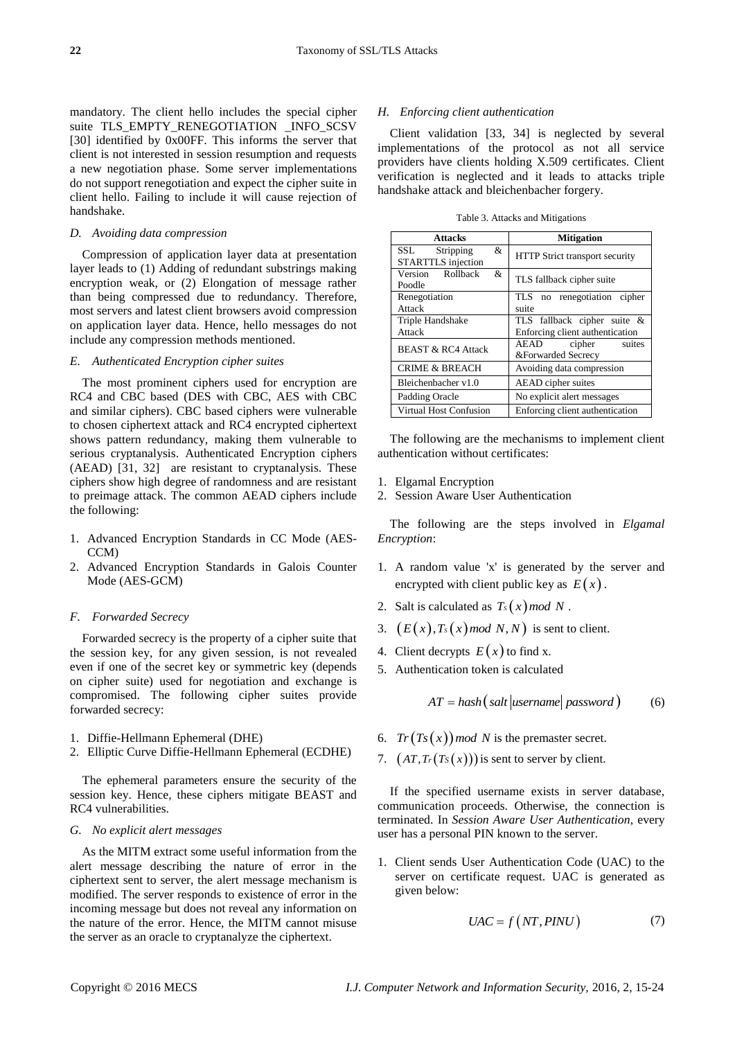mandatory. The client hello includes the special cipher suite TLS\_EMPTY\_RENEGOTIATION \_INFO\_SCSV [30] identified by 0x00FF. This informs the server that client is not interested in session resumption and requests a new negotiation phase. Some server implementations do not support renegotiation and expect the cipher suite in client hello. Failing to include it will cause rejection of handshake.

#### *D. Avoiding data compression*

Compression of application layer data at presentation layer leads to (1) Adding of redundant substrings making encryption weak, or (2) Elongation of message rather than being compressed due to redundancy. Therefore, most servers and latest client browsers avoid compression on application layer data. Hence, hello messages do not include any compression methods mentioned.

## *E. Authenticated Encryption cipher suites*

The most prominent ciphers used for encryption are RC4 and CBC based (DES with CBC, AES with CBC and similar ciphers). CBC based ciphers were vulnerable to chosen ciphertext attack and RC4 encrypted ciphertext shows pattern redundancy, making them vulnerable to serious cryptanalysis. Authenticated Encryption ciphers (AEAD) [31, 32] are resistant to cryptanalysis. These ciphers show high degree of randomness and are resistant to preimage attack. The common AEAD ciphers include the following:

- 1. Advanced Encryption Standards in CC Mode (AES-CCM)
- 2. Advanced Encryption Standards in Galois Counter Mode (AES-GCM)

#### *F. Forwarded Secrecy*

Forwarded secrecy is the property of a cipher suite that the session key, for any given session, is not revealed even if one of the secret key or symmetric key (depends on cipher suite) used for negotiation and exchange is compromised. The following cipher suites provide forwarded secrecy:

- 1. Diffie-Hellmann Ephemeral (DHE)
- 2. Elliptic Curve Diffie-Hellmann Ephemeral (ECDHE)

The ephemeral parameters ensure the security of the session key. Hence, these ciphers mitigate BEAST and RC4 vulnerabilities.

#### *G. No explicit alert messages*

As the MITM extract some useful information from the alert message describing the nature of error in the ciphertext sent to server, the alert message mechanism is modified. The server responds to existence of error in the incoming message but does not reveal any information on the nature of the error. Hence, the MITM cannot misuse the server as an oracle to cryptanalyze the ciphertext.

#### *H. Enforcing client authentication*

Client validation [33, 34] is neglected by several implementations of the protocol as not all service providers have clients holding X.509 certificates. Client verification is neglected and it leads to attacks triple handshake attack and bleichenbacher forgery.

|  | Table 3. Attacks and Mitigations |  |  |  |
|--|----------------------------------|--|--|--|
|--|----------------------------------|--|--|--|

| <b>Attacks</b>                                     | <b>Mitigation</b>                              |  |
|----------------------------------------------------|------------------------------------------------|--|
| SSL<br>Stripping<br>&<br><b>STARTTLS</b> injection | <b>HTTP</b> Strict transport security          |  |
| Version Rollback<br>&<br>Poodle                    | TLS fallback cipher suite                      |  |
| Renegotiation                                      | TLS no renegotiation cipher                    |  |
| Attack                                             | suite                                          |  |
| Triple Handshake                                   | TLS fallback cipher suite &                    |  |
| Attack                                             | Enforcing client authentication                |  |
| <b>BEAST &amp; RC4 Attack</b>                      | AEAD<br>cipher<br>suites<br>&Forwarded Secrecy |  |
| <b>CRIME &amp; BREACH</b>                          | Avoiding data compression                      |  |
| Bleichenbacher v1.0<br>AEAD cipher suites          |                                                |  |
| Padding Oracle                                     | No explicit alert messages                     |  |
| Virtual Host Confusion                             | Enforcing client authentication                |  |

The following are the mechanisms to implement client authentication without certificates:

- 1. Elgamal Encryption
- 2. Session Aware User Authentication

The following are the steps involved in *Elgamal Encryption*:

- 1. A random value 'x' is generated by the server and encrypted with client public key as  $E(x)$ .
- 2. Salt is calculated as  $T_s(x)$  *mod N*.
- 3.  $(E(x), T_s(x) \mod N, N)$  is sent to client.
- 4. Client decrypts  $E(x)$  to find x.
- 5. Authentication token is calculated

 $AT = hash(salt | username | password)$  (6)

- 6.  $Tr(Ts(x))$  mod N is the premaster secret.
- 7.  $(AT, Tr(Ts(x)))$  is sent to server by client.

If the specified username exists in server database, communication proceeds. Otherwise, the connection is terminated. In *Session Aware User Authentication*, every user has a personal PIN known to the server.

1. Client sends User Authentication Code (UAC) to the server on certificate request. UAC is generated as given below:

$$
UAC = f\left(NT, PINU\right) \tag{7}
$$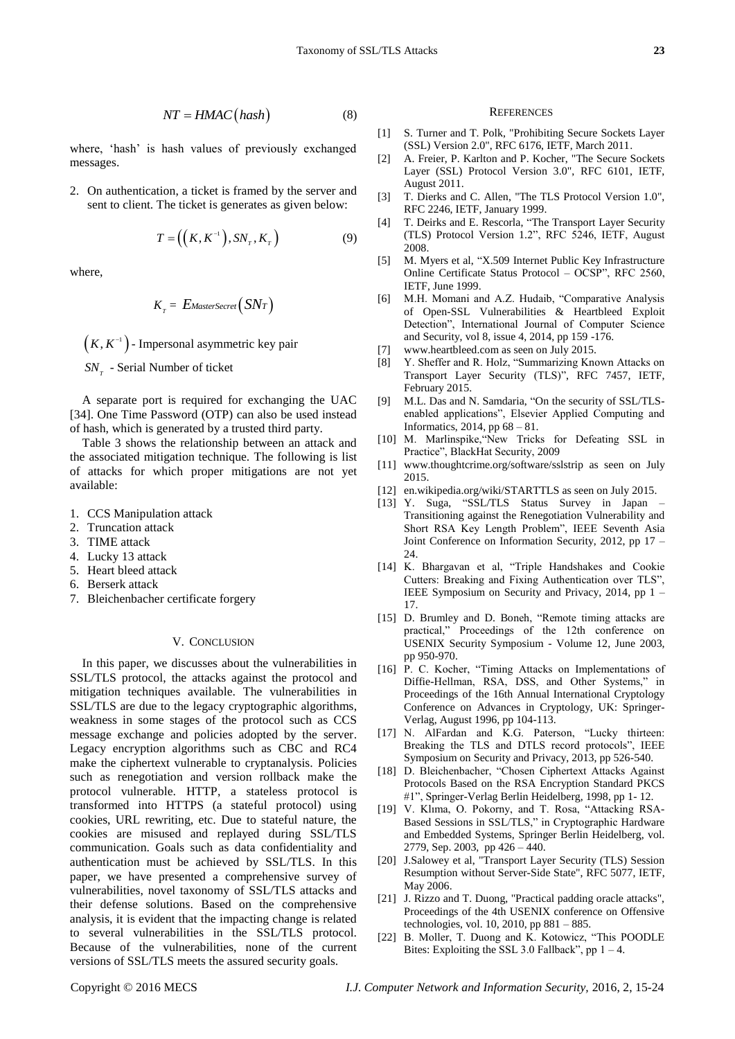$$
NT = HMAC(hash)
$$
 (8)

where, 'hash' is hash values of previously exchanged messages.

2. On authentication, a ticket is framed by the server and sent to client. The ticket is generates as given below:

$$
T = \left( \left( K, K^{-1} \right), SN_{T}, K_{T} \right) \tag{9}
$$

where,

$$
K_{T} = E_{MasterSecret}(SNT)
$$

 $(K, K^{-1})$  - Impersonal asymmetric key pair

*T SN* - Serial Number of ticket

A separate port is required for exchanging the UAC [34]. One Time Password (OTP) can also be used instead of hash, which is generated by a trusted third party.

Table 3 shows the relationship between an attack and the associated mitigation technique. The following is list of attacks for which proper mitigations are not yet available:

- 1. CCS Manipulation attack
- 2. Truncation attack
- 3. TIME attack
- 4. Lucky 13 attack
- 5. Heart bleed attack
- 6. Berserk attack
- 7. Bleichenbacher certificate forgery

#### V. CONCLUSION

AT - Hotel Case) (and) (a) Experiment Computer 11 S. Temen WI TAN - Temen Records and the security and interest in the security of Computer Network and Information Security, 2016, 2, 15-24 **NETWORK and Computer Network an** In this paper, we discusses about the vulnerabilities in SSL/TLS protocol, the attacks against the protocol and mitigation techniques available. The vulnerabilities in SSL/TLS are due to the legacy cryptographic algorithms, weakness in some stages of the protocol such as CCS message exchange and policies adopted by the server. Legacy encryption algorithms such as CBC and RC4 make the ciphertext vulnerable to cryptanalysis. Policies such as renegotiation and version rollback make the protocol vulnerable. HTTP, a stateless protocol is transformed into HTTPS (a stateful protocol) using cookies, URL rewriting, etc. Due to stateful nature, the cookies are misused and replayed during SSL/TLS communication. Goals such as data confidentiality and authentication must be achieved by SSL/TLS. In this paper, we have presented a comprehensive survey of vulnerabilities, novel taxonomy of SSL/TLS attacks and their defense solutions. Based on the comprehensive analysis, it is evident that the impacting change is related to several vulnerabilities in the SSL/TLS protocol. Because of the vulnerabilities, none of the current versions of SSL/TLS meets the assured security goals.

#### **REFERENCES**

- [1] S. Turner and T. Polk, "Prohibiting Secure Sockets Layer (SSL) Version 2.0", RFC 6176, IETF, March 2011.
- [2] A. Freier, P. Karlton and P. Kocher, "The Secure Sockets Layer (SSL) Protocol Version 3.0", RFC 6101, IETF, August 2011.
- [3] T. Dierks and C. Allen, "The TLS Protocol Version 1.0", RFC 2246, IETF, January 1999.
- [4] T. Deirks and E. Rescorla, "The Transport Layer Security (TLS) Protocol Version 1.2", RFC 5246, IETF, August 2008.
- [5] M. Myers et al, "X.509 Internet Public Key Infrastructure Online Certificate Status Protocol - OCSP", RFC 2560, IETF, June 1999.
- [6] M.H. Momani and A.Z. Hudaib, "Comparative Analysis of Open-SSL Vulnerabilities & Heartbleed Exploit Detection", International Journal of Computer Science and Security, vol 8, issue 4, 2014, pp 159 -176.
- [7] www.heartbleed.com as seen on July 2015.
- [8] Y. Sheffer and R. Holz, "Summarizing Known Attacks on Transport Layer Security (TLS)", RFC 7457, IETF, February 2015.
- [9] M.L. Das and N. Samdaria, "On the security of SSL/TLSenabled applications", Elsevier Applied Computing and Informatics, 2014, pp 68 – 81.
- [10] M. Marlinspike, "New Tricks for Defeating SSL in Practice", BlackHat Security, 2009
- [11] www.thoughtcrime.org/software/sslstrip as seen on July 2015.
- [12] en.wikipedia.org/wiki/STARTTLS as seen on July 2015.
- [13] Y. Suga, "SSL/TLS Status Survey in Japan -Transitioning against the Renegotiation Vulnerability and Short RSA Key Length Problem", IEEE Seventh Asia Joint Conference on Information Security, 2012, pp 17 – 24.
- [14] K. Bhargavan et al, "Triple Handshakes and Cookie Cutters: Breaking and Fixing Authentication over TLS", IEEE Symposium on Security and Privacy, 2014, pp 1 – 17.
- [15] D. Brumley and D. Boneh, "Remote timing attacks are practical," Proceedings of the 12th conference on USENIX Security Symposium - Volume 12, June 2003, pp 950-970.
- [16] P. C. Kocher, "Timing Attacks on Implementations of Diffie-Hellman, RSA, DSS, and Other Systems," in Proceedings of the 16th Annual International Cryptology Conference on Advances in Cryptology, UK: Springer-Verlag, August 1996, pp 104-113.
- [17] N. AlFardan and K.G. Paterson, "Lucky thirteen: Breaking the TLS and DTLS record protocols", IEEE Symposium on Security and Privacy, 2013, pp 526-540.
- [18] D. Bleichenbacher, "Chosen Ciphertext Attacks Against Protocols Based on the RSA Encryption Standard PKCS #1", Springer-Verlag Berlin Heidelberg, 1998, pp 1-12.
- [19] V. Klıma, O. Pokorny, and T. Rosa, "Attacking RSA-Based Sessions in SSL/TLS," in Cryptographic Hardware and Embedded Systems, Springer Berlin Heidelberg, vol. 2779, Sep. 2003, pp 426 – 440.
- [20] J.Salowey et al, "Transport Layer Security (TLS) Session Resumption without Server-Side State", RFC 5077, IETF, May 2006.
- [21] J. Rizzo and T. Duong, "Practical padding oracle attacks", Proceedings of the 4th USENIX conference on Offensive technologies, vol. 10, 2010, pp 881 – 885.
- [22] B. Moller, T. Duong and K. Kotowicz, "This POODLE Bites: Exploiting the SSL 3.0 Fallback", pp  $1 - 4$ .